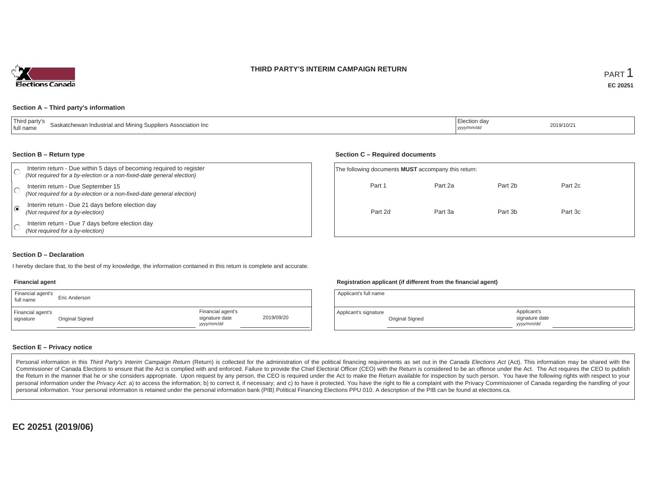## **THIRD PARTY'S INTERIM CAMPAIGN RETURN**



#### **Section A – Third party's information**

| <sup>1</sup> Thiro                                           | :lection da |            |
|--------------------------------------------------------------|-------------|------------|
| Saskatchewan Industrial and Mining Suppliers Association Inc |             | 2019/10/21 |
| I full name                                                  | yyyy/mm/dd  |            |

#### **Section B – Return type**

|         | Interim return - Due within 5 days of becoming required to register<br>(Not required for a by-election or a non-fixed-date general election) |         | The following documents <b>MUST</b> accompany this return: |         |         |  |  |  |
|---------|----------------------------------------------------------------------------------------------------------------------------------------------|---------|------------------------------------------------------------|---------|---------|--|--|--|
|         | Interim return - Due September 15<br>(Not required for a by-election or a non-fixed-date general election)                                   | Part 1  | Part 2a                                                    | Part 2b | Part 2c |  |  |  |
| $\odot$ | Interim return - Due 21 days before election day<br>(Not required for a by-election)                                                         | Part 2d | Part 3a                                                    | Part 3b | Part 3c |  |  |  |
|         | Interim return - Due 7 days before election day<br>(Not required for a by-election)                                                          |         |                                                            |         |         |  |  |  |

### **Section D – Declaration**

I hereby declare that, to the best of my knowledge, the information contained in this return is complete and accurate.

#### **Financial agent**

| Financial agent's<br>full name | Eric Anderson   |                                                  |            |
|--------------------------------|-----------------|--------------------------------------------------|------------|
| Financial agent's<br>signature | Original Signed | Financial agent's<br>signature date<br>vyy/mm/dd | 2019/09/20 |

### **Registration applicant (if different from the financial agent)**

**Section C – Required documents**

| Applicant's full name |                 |                                            |  |
|-----------------------|-----------------|--------------------------------------------|--|
| Applicant's signature | Original Signed | Applicant's<br>signature date<br>vyy/mm/dd |  |

### **Section E – Privacy notice**

Personal information in this Third Party's Interim Campaign Return (Return) is collected for the administration of the political financing requirements as set out in the Canada Elections Act (Act). This information may be Commissioner of Canada Elections to ensure that the Act is complied with and enforced. Failure to provide the Chief Electoral Officer (CEO) with the Return is considered to be an offence under the Act. The Act requires the the Return in the manner that he or she considers appropriate. Upon request by any person, the CEO is required under the Act to make the Return available for inspection by such person. You have the following rights with re personal information under the Privacy Act. a) to access the information; b) to correct it, if necessary; and c) to have it protected. You have the right to file a complaint with the Privacy Commissioner of Canada regardin personal information. Your personal information is retained under the personal information bank (PIB) Political Financing Elections PPU 010. A description of the PIB can be found at elections.ca.

**EC 20251 (2019/06)**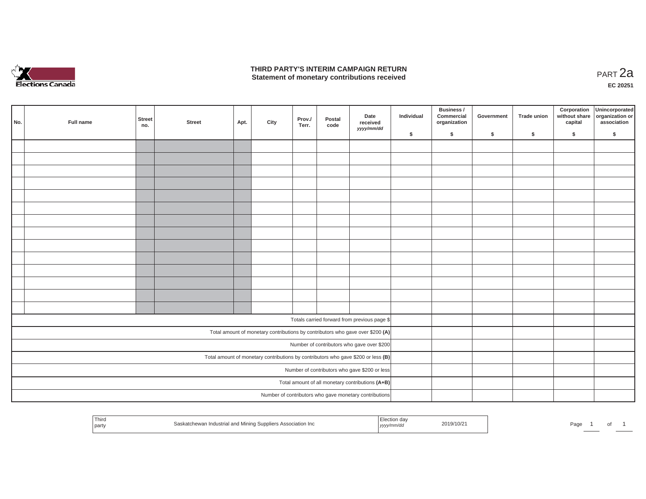

## **THIRD PARTY'S INTERIM CAMPAIGN RETURN THIRD PARTY'S INTERIM CAMPAIGN RETURN<br>Statement of monetary contributions received PART 2a**

**EC 20251**

| No. | Full name | <b>Street</b><br>no. | <b>Street</b> | Apt. | City | Prov./<br>Terr. | Postal<br>code | Date<br>received<br>yyyy/mm/dd                                                    | Individual | Business /<br>Commercial<br>organization | Government | Trade union | Corporation<br>without share<br>capital | Unincorporated<br>organization or<br>association |
|-----|-----------|----------------------|---------------|------|------|-----------------|----------------|-----------------------------------------------------------------------------------|------------|------------------------------------------|------------|-------------|-----------------------------------------|--------------------------------------------------|
|     |           |                      |               |      |      |                 |                |                                                                                   | \$         | $\mathsf{s}$                             | \$         | \$          | \$                                      | \$                                               |
|     |           |                      |               |      |      |                 |                |                                                                                   |            |                                          |            |             |                                         |                                                  |
|     |           |                      |               |      |      |                 |                |                                                                                   |            |                                          |            |             |                                         |                                                  |
|     |           |                      |               |      |      |                 |                |                                                                                   |            |                                          |            |             |                                         |                                                  |
|     |           |                      |               |      |      |                 |                |                                                                                   |            |                                          |            |             |                                         |                                                  |
|     |           |                      |               |      |      |                 |                |                                                                                   |            |                                          |            |             |                                         |                                                  |
|     |           |                      |               |      |      |                 |                |                                                                                   |            |                                          |            |             |                                         |                                                  |
|     |           |                      |               |      |      |                 |                |                                                                                   |            |                                          |            |             |                                         |                                                  |
|     |           |                      |               |      |      |                 |                |                                                                                   |            |                                          |            |             |                                         |                                                  |
|     |           |                      |               |      |      |                 |                |                                                                                   |            |                                          |            |             |                                         |                                                  |
|     |           |                      |               |      |      |                 |                |                                                                                   |            |                                          |            |             |                                         |                                                  |
|     |           |                      |               |      |      |                 |                |                                                                                   |            |                                          |            |             |                                         |                                                  |
|     |           |                      |               |      |      |                 |                |                                                                                   |            |                                          |            |             |                                         |                                                  |
|     |           |                      |               |      |      |                 |                |                                                                                   |            |                                          |            |             |                                         |                                                  |
|     |           |                      |               |      |      |                 |                |                                                                                   |            |                                          |            |             |                                         |                                                  |
|     |           |                      |               |      |      |                 |                | Totals carried forward from previous page \$                                      |            |                                          |            |             |                                         |                                                  |
|     |           |                      |               |      |      |                 |                | Total amount of monetary contributions by contributors who gave over \$200 (A)    |            |                                          |            |             |                                         |                                                  |
|     |           |                      |               |      |      |                 |                | Number of contributors who gave over \$200                                        |            |                                          |            |             |                                         |                                                  |
|     |           |                      |               |      |      |                 |                | Total amount of monetary contributions by contributors who gave \$200 or less (B) |            |                                          |            |             |                                         |                                                  |
|     |           |                      |               |      |      |                 |                | Number of contributors who gave \$200 or less                                     |            |                                          |            |             |                                         |                                                  |
|     |           |                      |               |      |      |                 |                | Total amount of all monetary contributions (A+B)                                  |            |                                          |            |             |                                         |                                                  |
|     |           |                      |               |      |      |                 |                | Number of contributors who gave monetary contributions                            |            |                                          |            |             |                                         |                                                  |

| Third<br>' part∨ | Saskatchewan Industrial and Mining Suppliers Association Inc | Election da <sup>,</sup><br>2019/10/21<br>yyyymm/ar | Page<br>$\cdots$ |
|------------------|--------------------------------------------------------------|-----------------------------------------------------|------------------|
|------------------|--------------------------------------------------------------|-----------------------------------------------------|------------------|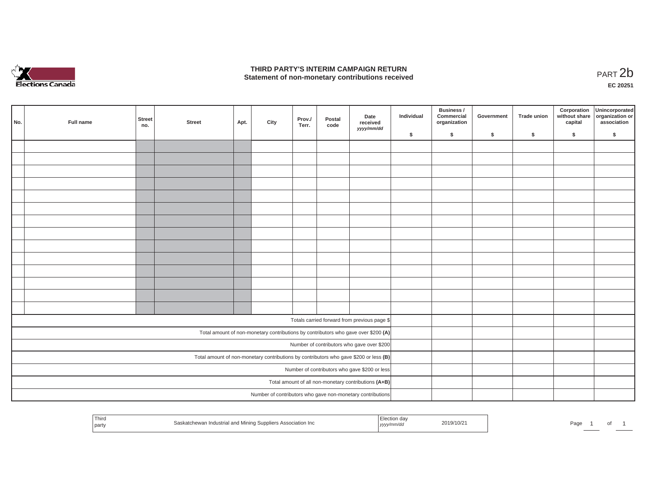

## **THIRD PARTY'S INTERIM CAMPAIGN RETURN**  THIRD PARTY'S INTERIM CAMPAIGN RETURN<br>Statement of non-monetary contributions received<br>**PART 2**b

**EC 20251**

|  | No. | Full name | Street<br>no. | <b>Street</b> | Apt. | City | Prov./<br>Terr. | Postal<br>code | Date<br>received<br>yyyy/mm/dd                                                        | Individual | Business /<br>Commercial<br>organization | Government | Trade union | Corporation<br>capital | Unincorporated<br>without share organization or<br>association |
|--|-----|-----------|---------------|---------------|------|------|-----------------|----------------|---------------------------------------------------------------------------------------|------------|------------------------------------------|------------|-------------|------------------------|----------------------------------------------------------------|
|  |     |           |               |               |      |      |                 |                |                                                                                       | \$         | $\mathsf{s}$                             | \$         | $\sqrt{2}$  | \$                     | \$                                                             |
|  |     |           |               |               |      |      |                 |                |                                                                                       |            |                                          |            |             |                        |                                                                |
|  |     |           |               |               |      |      |                 |                |                                                                                       |            |                                          |            |             |                        |                                                                |
|  |     |           |               |               |      |      |                 |                |                                                                                       |            |                                          |            |             |                        |                                                                |
|  |     |           |               |               |      |      |                 |                |                                                                                       |            |                                          |            |             |                        |                                                                |
|  |     |           |               |               |      |      |                 |                |                                                                                       |            |                                          |            |             |                        |                                                                |
|  |     |           |               |               |      |      |                 |                |                                                                                       |            |                                          |            |             |                        |                                                                |
|  |     |           |               |               |      |      |                 |                |                                                                                       |            |                                          |            |             |                        |                                                                |
|  |     |           |               |               |      |      |                 |                |                                                                                       |            |                                          |            |             |                        |                                                                |
|  |     |           |               |               |      |      |                 |                |                                                                                       |            |                                          |            |             |                        |                                                                |
|  |     |           |               |               |      |      |                 |                |                                                                                       |            |                                          |            |             |                        |                                                                |
|  |     |           |               |               |      |      |                 |                |                                                                                       |            |                                          |            |             |                        |                                                                |
|  |     |           |               |               |      |      |                 |                |                                                                                       |            |                                          |            |             |                        |                                                                |
|  |     |           |               |               |      |      |                 |                |                                                                                       |            |                                          |            |             |                        |                                                                |
|  |     |           |               |               |      |      |                 |                |                                                                                       |            |                                          |            |             |                        |                                                                |
|  |     |           |               |               |      |      |                 |                |                                                                                       |            |                                          |            |             |                        |                                                                |
|  |     |           |               |               |      |      |                 |                | Totals carried forward from previous page \$                                          |            |                                          |            |             |                        |                                                                |
|  |     |           |               |               |      |      |                 |                | Total amount of non-monetary contributions by contributors who gave over \$200 (A)    |            |                                          |            |             |                        |                                                                |
|  |     |           |               |               |      |      |                 |                | Number of contributors who gave over \$200                                            |            |                                          |            |             |                        |                                                                |
|  |     |           |               |               |      |      |                 |                | Total amount of non-monetary contributions by contributors who gave \$200 or less (B) |            |                                          |            |             |                        |                                                                |
|  |     |           |               |               |      |      |                 |                | Number of contributors who gave \$200 or less                                         |            |                                          |            |             |                        |                                                                |
|  |     |           |               |               |      |      |                 |                | Total amount of all non-monetary contributions (A+B)                                  |            |                                          |            |             |                        |                                                                |
|  |     |           |               |               |      |      |                 |                | Number of contributors who gave non-monetary contributions                            |            |                                          |            |             |                        |                                                                |
|  |     |           |               |               |      |      |                 |                |                                                                                       |            |                                          |            |             |                        |                                                                |

| $- \cdot$<br>l hird<br>d Mining Suppliers Association Inc<br>⊰aek<br>il and<br>party | ' " III Ос.<br>2019/10/2<br>נ <i>ציצ</i> ון | Pag<br>. |
|--------------------------------------------------------------------------------------|---------------------------------------------|----------|
|--------------------------------------------------------------------------------------|---------------------------------------------|----------|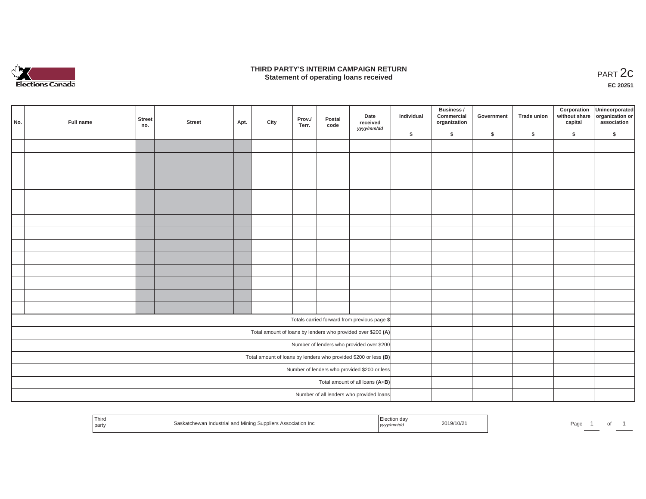

## **THIRD PARTY'S INTERIM CAMPAIGN RETURN**  RD PARTY'S INTERIM CAMPAIGN RETURN<br>Statement of operating loans received **PART 2c**

**EC 20251**

| No. | Full name | Street<br>no. | <b>Street</b> | Apt. | City | Prov./<br>Terr. | Postal<br>code | Date<br>received<br>yyyy/mm/dd                                  | Individual | <b>Business /</b><br>Commercial<br>organization | Government | Trade union | Corporation<br>capital | Unincorporated<br>without share organization or<br>association |
|-----|-----------|---------------|---------------|------|------|-----------------|----------------|-----------------------------------------------------------------|------------|-------------------------------------------------|------------|-------------|------------------------|----------------------------------------------------------------|
|     |           |               |               |      |      |                 |                |                                                                 | \$         | \$                                              | \$         | \$          | \$                     | \$                                                             |
|     |           |               |               |      |      |                 |                |                                                                 |            |                                                 |            |             |                        |                                                                |
|     |           |               |               |      |      |                 |                |                                                                 |            |                                                 |            |             |                        |                                                                |
|     |           |               |               |      |      |                 |                |                                                                 |            |                                                 |            |             |                        |                                                                |
|     |           |               |               |      |      |                 |                |                                                                 |            |                                                 |            |             |                        |                                                                |
|     |           |               |               |      |      |                 |                |                                                                 |            |                                                 |            |             |                        |                                                                |
|     |           |               |               |      |      |                 |                |                                                                 |            |                                                 |            |             |                        |                                                                |
|     |           |               |               |      |      |                 |                |                                                                 |            |                                                 |            |             |                        |                                                                |
|     |           |               |               |      |      |                 |                |                                                                 |            |                                                 |            |             |                        |                                                                |
|     |           |               |               |      |      |                 |                |                                                                 |            |                                                 |            |             |                        |                                                                |
|     |           |               |               |      |      |                 |                |                                                                 |            |                                                 |            |             |                        |                                                                |
|     |           |               |               |      |      |                 |                |                                                                 |            |                                                 |            |             |                        |                                                                |
|     |           |               |               |      |      |                 |                |                                                                 |            |                                                 |            |             |                        |                                                                |
|     |           |               |               |      |      |                 |                |                                                                 |            |                                                 |            |             |                        |                                                                |
|     |           |               |               |      |      |                 |                |                                                                 |            |                                                 |            |             |                        |                                                                |
|     |           |               |               |      |      |                 |                |                                                                 |            |                                                 |            |             |                        |                                                                |
|     |           |               |               |      |      |                 |                | Totals carried forward from previous page \$                    |            |                                                 |            |             |                        |                                                                |
|     |           |               |               |      |      |                 |                | Total amount of loans by lenders who provided over \$200 (A)    |            |                                                 |            |             |                        |                                                                |
|     |           |               |               |      |      |                 |                | Number of lenders who provided over \$200                       |            |                                                 |            |             |                        |                                                                |
|     |           |               |               |      |      |                 |                | Total amount of loans by lenders who provided \$200 or less (B) |            |                                                 |            |             |                        |                                                                |
|     |           |               |               |      |      |                 |                | Number of lenders who provided \$200 or less                    |            |                                                 |            |             |                        |                                                                |
|     |           |               |               |      |      |                 |                | Total amount of all loans (A+B)                                 |            |                                                 |            |             |                        |                                                                |
|     |           |               |               |      |      |                 |                | Number of all lenders who provided loans                        |            |                                                 |            |             |                        |                                                                |
|     |           |               |               |      |      |                 |                |                                                                 |            |                                                 |            |             |                        |                                                                |

| Third<br>party | Saskatchewan Industrial and Mining Suppliers Association Inc | , yyyy/mm/dd | 2019/10/2 | Page |  |
|----------------|--------------------------------------------------------------|--------------|-----------|------|--|
|                |                                                              |              |           |      |  |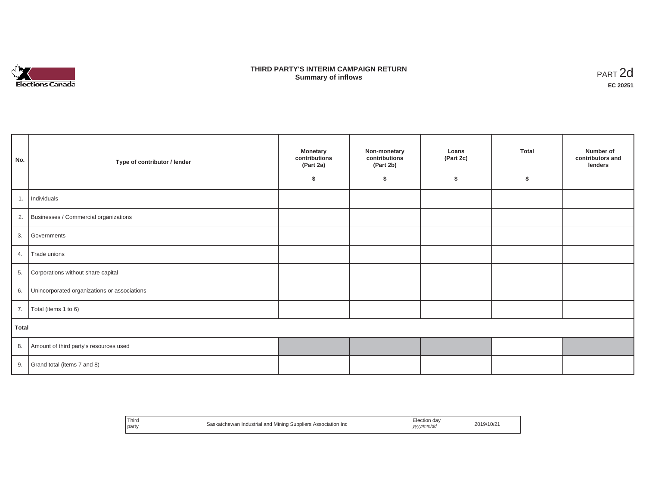

## **THIRD PARTY'S INTERIM CAMPAIGN RETURN SUMMARY STATE SUMMARY OF A SUMMARY OF A SUMMARY OF A SUMMARY OF A SUMMARY OF A SUMMARY OF A SUMMARY OF A SUMMA**<br> **Summary of inflows**

| No.   | Type of contributor / lender                    | <b>Monetary</b><br>contributions<br>(Part 2a)<br>-S | Non-monetary<br>contributions<br>(Part 2b)<br>\$ | Loans<br>(Part 2c)<br>\$ | Total<br>Ŝ. | Number of<br>contributors and<br>lenders |
|-------|-------------------------------------------------|-----------------------------------------------------|--------------------------------------------------|--------------------------|-------------|------------------------------------------|
|       | 1. Individuals                                  |                                                     |                                                  |                          |             |                                          |
|       | 2. Businesses / Commercial organizations        |                                                     |                                                  |                          |             |                                          |
| 3.    | Governments                                     |                                                     |                                                  |                          |             |                                          |
|       | 4. Trade unions                                 |                                                     |                                                  |                          |             |                                          |
| 5.    | Corporations without share capital              |                                                     |                                                  |                          |             |                                          |
|       | 6. Unincorporated organizations or associations |                                                     |                                                  |                          |             |                                          |
|       | 7.   Total (items 1 to 6)                       |                                                     |                                                  |                          |             |                                          |
| Total |                                                 |                                                     |                                                  |                          |             |                                          |
|       | 8. Amount of third party's resources used       |                                                     |                                                  |                          |             |                                          |
|       | 9. Grand total (items $7$ and $8$ )             |                                                     |                                                  |                          |             |                                          |

| Third<br>party | Saskatchewan Industrial and Mining Suppliers Association Inc | Election day<br>  yyyy/mm/da<br>. | 2019/10/2. |
|----------------|--------------------------------------------------------------|-----------------------------------|------------|
|----------------|--------------------------------------------------------------|-----------------------------------|------------|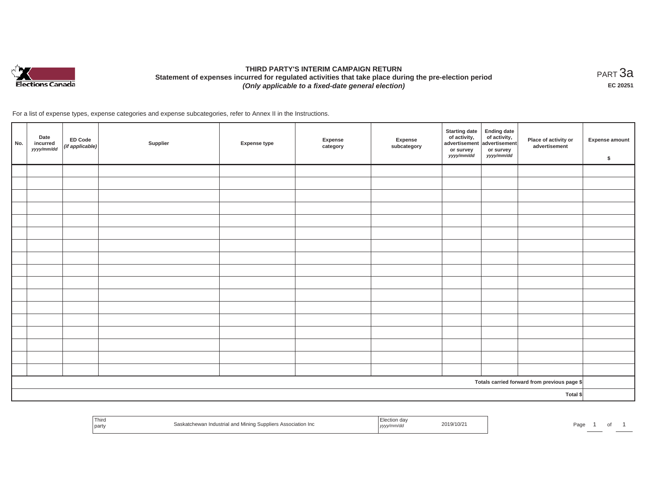

# **THIRD PARTY'S INTERIM CAMPAIGN RETURN Statement of expenses incurred for regulated activities that take place during the pre-election period**  *(Only applicable to a fixed-date general election)*

<code>PART $3$ a</code> **EC 20251**

For a list of expense types, expense categories and expense subcategories, refer to Annex II in the Instructions.

| No. | Date<br>incurred<br>yyyy/mm/dd | ED Code<br>(if applicable) | Supplier | <b>Expense type</b> | Expense<br>category | Expense<br>subcategory | <b>Starting date</b><br>of activity,<br>advertisement<br>or survey<br>yyyy/mm/dd | Ending date<br>of activity,<br>advertisement<br>or survey<br>yyyy/mm/dd | Place of activity or<br>advertisement        | <b>Expense amount</b><br>\$ |
|-----|--------------------------------|----------------------------|----------|---------------------|---------------------|------------------------|----------------------------------------------------------------------------------|-------------------------------------------------------------------------|----------------------------------------------|-----------------------------|
|     |                                |                            |          |                     |                     |                        |                                                                                  |                                                                         |                                              |                             |
|     |                                |                            |          |                     |                     |                        |                                                                                  |                                                                         |                                              |                             |
|     |                                |                            |          |                     |                     |                        |                                                                                  |                                                                         |                                              |                             |
|     |                                |                            |          |                     |                     |                        |                                                                                  |                                                                         |                                              |                             |
|     |                                |                            |          |                     |                     |                        |                                                                                  |                                                                         |                                              |                             |
|     |                                |                            |          |                     |                     |                        |                                                                                  |                                                                         |                                              |                             |
|     |                                |                            |          |                     |                     |                        |                                                                                  |                                                                         |                                              |                             |
|     |                                |                            |          |                     |                     |                        |                                                                                  |                                                                         |                                              |                             |
|     |                                |                            |          |                     |                     |                        |                                                                                  |                                                                         |                                              |                             |
|     |                                |                            |          |                     |                     |                        |                                                                                  |                                                                         |                                              |                             |
|     |                                |                            |          |                     |                     |                        |                                                                                  |                                                                         |                                              |                             |
|     |                                |                            |          |                     |                     |                        |                                                                                  |                                                                         |                                              |                             |
|     |                                |                            |          |                     |                     |                        |                                                                                  |                                                                         |                                              |                             |
|     |                                |                            |          |                     |                     |                        |                                                                                  |                                                                         |                                              |                             |
|     |                                |                            |          |                     |                     |                        |                                                                                  |                                                                         |                                              |                             |
|     |                                |                            |          |                     |                     |                        |                                                                                  |                                                                         |                                              |                             |
|     |                                |                            |          |                     |                     |                        |                                                                                  |                                                                         |                                              |                             |
|     |                                |                            |          |                     |                     |                        |                                                                                  |                                                                         | Totals carried forward from previous page \$ |                             |
|     |                                |                            |          |                     |                     |                        |                                                                                  |                                                                         | Total \$                                     |                             |

| 'Third<br>Saskatchewan Industrial and Mining Suppliers Association Inc<br>part | 2019/10/2<br><i>"/mm/au"</i><br>, yyyyıı | Page |
|--------------------------------------------------------------------------------|------------------------------------------|------|
|--------------------------------------------------------------------------------|------------------------------------------|------|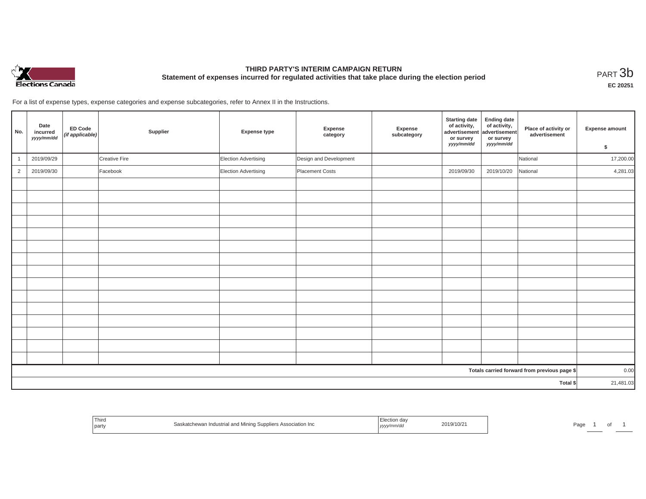

# **THIRD PARTY'S INTERIM CAMPAIGN RETURN Statement of expenses incurred for regulated activities that take place during the election period**<br>PART  $3\text{b}$

**EC 20251**

For a list of expense types, expense categories and expense subcategories, refer to Annex II in the Instructions.

| No.            | Date<br>incurred<br>yyyy/mm/dd | <b>ED Code</b><br>(if applicable) | Supplier      | <b>Expense type</b>  | Expense<br>category    | Expense<br>subcategory | <b>Starting date</b><br>of activity,<br>advertisement<br>or survey<br>yyyy/mm/dd | <b>Ending date</b><br>of activity,<br>advertisement<br>or survey<br>yyyy/mm/dd | Place of activity or<br>advertisement        | Expense amount<br>\$ |
|----------------|--------------------------------|-----------------------------------|---------------|----------------------|------------------------|------------------------|----------------------------------------------------------------------------------|--------------------------------------------------------------------------------|----------------------------------------------|----------------------|
|                | 2019/09/29                     |                                   | Creative Fire | Election Advertising | Design and Development |                        |                                                                                  |                                                                                | National                                     | 17,200.00            |
| $\overline{2}$ | 2019/09/30                     |                                   | Facebook      | Election Advertising | Placement Costs        |                        | 2019/09/30                                                                       | 2019/10/20                                                                     | National                                     | 4,281.03             |
|                |                                |                                   |               |                      |                        |                        |                                                                                  |                                                                                |                                              |                      |
|                |                                |                                   |               |                      |                        |                        |                                                                                  |                                                                                |                                              |                      |
|                |                                |                                   |               |                      |                        |                        |                                                                                  |                                                                                |                                              |                      |
|                |                                |                                   |               |                      |                        |                        |                                                                                  |                                                                                |                                              |                      |
|                |                                |                                   |               |                      |                        |                        |                                                                                  |                                                                                |                                              |                      |
|                |                                |                                   |               |                      |                        |                        |                                                                                  |                                                                                |                                              |                      |
|                |                                |                                   |               |                      |                        |                        |                                                                                  |                                                                                |                                              |                      |
|                |                                |                                   |               |                      |                        |                        |                                                                                  |                                                                                |                                              |                      |
|                |                                |                                   |               |                      |                        |                        |                                                                                  |                                                                                |                                              |                      |
|                |                                |                                   |               |                      |                        |                        |                                                                                  |                                                                                |                                              |                      |
|                |                                |                                   |               |                      |                        |                        |                                                                                  |                                                                                |                                              |                      |
|                |                                |                                   |               |                      |                        |                        |                                                                                  |                                                                                |                                              |                      |
|                |                                |                                   |               |                      |                        |                        |                                                                                  |                                                                                |                                              |                      |
|                |                                |                                   |               |                      |                        |                        |                                                                                  |                                                                                |                                              |                      |
|                |                                |                                   |               |                      |                        |                        |                                                                                  |                                                                                |                                              |                      |
|                |                                |                                   |               |                      |                        |                        |                                                                                  |                                                                                | Totals carried forward from previous page \$ | 0.00                 |
| Total \$       |                                |                                   |               |                      |                        |                        | 21,481.03                                                                        |                                                                                |                                              |                      |

| ' Third<br>Saskatchewan<br>party | Industrial and Mining Suppliers Association Inc<br>yyyy/mm/aa | 2019/10/21 | ᄀᇰᇰ<br>∽age |
|----------------------------------|---------------------------------------------------------------|------------|-------------|
|----------------------------------|---------------------------------------------------------------|------------|-------------|